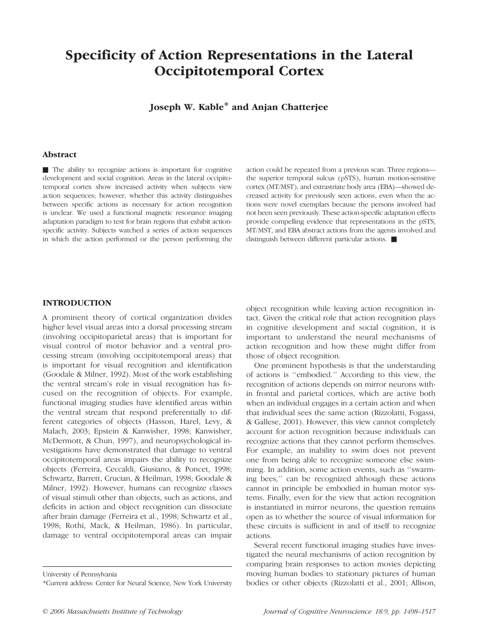# Specificity of Action Representations in the Lateral Occipitotemporal Cortex

Joseph W. Kable\* and Anjan Chatterjee

#### Abstract

 $\blacksquare$  The ability to recognize actions is important for cognitive development and social cognition. Areas in the lateral occipitotemporal cortex show increased activity when subjects view action sequences; however, whether this activity distinguishes between specific actions as necessary for action recognition is unclear. We used a functional magnetic resonance imaging adaptation paradigm to test for brain regions that exhibit actionspecific activity. Subjects watched a series of action sequences in which the action performed or the person performing the action could be repeated from a previous scan. Three regions the superior temporal sulcus (pSTS), human motion-sensitive cortex (MT/MST), and extrastriate body area (EBA)—showed decreased activity for previously seen actions, even when the actions were novel exemplars because the persons involved had not been seen previously. These action-specific adaptation effects provide compelling evidence that representations in the pSTS, MT/MST, and EBA abstract actions from the agents involved and distinguish between different particular actions.  $\blacksquare$ 

#### INTRODUCTION

A prominent theory of cortical organization divides higher level visual areas into a dorsal processing stream (involving occipitoparietal areas) that is important for visual control of motor behavior and a ventral processing stream (involving occipitotemporal areas) that is important for visual recognition and identification (Goodale & Milner, 1992). Most of the work establishing the ventral stream's role in visual recognition has focused on the recognition of objects. For example, functional imaging studies have identified areas within the ventral stream that respond preferentially to different categories of objects (Hasson, Harel, Levy, & Malach, 2003; Epstein & Kanwisher, 1998; Kanwisher, McDermott, & Chun, 1997), and neuropsychological investigations have demonstrated that damage to ventral occipitotemporal areas impairs the ability to recognize objects (Ferreira, Ceccaldi, Giusiano, & Poncet, 1998; Schwartz, Barrett, Crucian, & Heilman, 1998; Goodale & Milner, 1992). However, humans can recognize classes of visual stimuli other than objects, such as actions, and deficits in action and object recognition can dissociate after brain damage (Ferreira et al., 1998; Schwartz et al., 1998; Rothi, Mack, & Heilman, 1986). In particular, damage to ventral occipitotemporal areas can impair

object recognition while leaving action recognition intact. Given the critical role that action recognition plays in cognitive development and social cognition, it is important to understand the neural mechanisms of action recognition and how these might differ from those of object recognition.

One prominent hypothesis is that the understanding of actions is ''embodied.'' According to this view, the recognition of actions depends on mirror neurons within frontal and parietal cortices, which are active both when an individual engages in a certain action and when that individual sees the same action (Rizzolatti, Fogassi, & Gallese, 2001). However, this view cannot completely account for action recognition because individuals can recognize actions that they cannot perform themselves. For example, an inability to swim does not prevent one from being able to recognize someone else swimming. In addition, some action events, such as ''swarming bees,'' can be recognized although these actions cannot in principle be embodied in human motor systems. Finally, even for the view that action recognition is instantiated in mirror neurons, the question remains open as to whether the source of visual information for these circuits is sufficient in and of itself to recognize actions.

Several recent functional imaging studies have investigated the neural mechanisms of action recognition by comparing brain responses to action movies depicting moving human bodies to stationary pictures of human bodies or other objects (Rizzolatti et al., 2001; Allison,

University of Pennsylvania

<sup>\*</sup>Current address: Center for Neural Science, New York University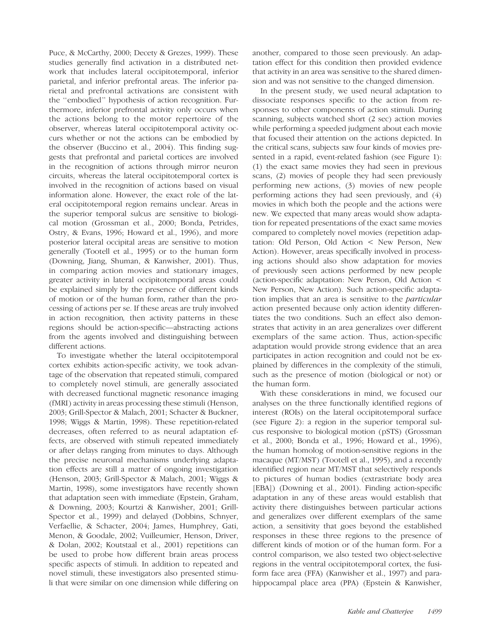Puce, & McCarthy, 2000; Decety & Grezes, 1999). These studies generally find activation in a distributed network that includes lateral occipitotemporal, inferior parietal, and inferior prefrontal areas. The inferior parietal and prefrontal activations are consistent with the ''embodied'' hypothesis of action recognition. Furthermore, inferior prefrontal activity only occurs when the actions belong to the motor repertoire of the observer, whereas lateral occipitotemporal activity occurs whether or not the actions can be embodied by the observer (Buccino et al., 2004). This finding suggests that prefrontal and parietal cortices are involved in the recognition of actions through mirror neuron circuits, whereas the lateral occipitotemporal cortex is involved in the recognition of actions based on visual information alone. However, the exact role of the lateral occipitotemporal region remains unclear. Areas in the superior temporal sulcus are sensitive to biological motion (Grossman et al., 2000; Bonda, Petrides, Ostry, & Evans, 1996; Howard et al., 1996), and more posterior lateral occipital areas are sensitive to motion generally (Tootell et al., 1995) or to the human form (Downing, Jiang, Shuman, & Kanwisher, 2001). Thus, in comparing action movies and stationary images, greater activity in lateral occipitotemporal areas could be explained simply by the presence of different kinds of motion or of the human form, rather than the processing of actions per se. If these areas are truly involved in action recognition, then activity patterns in these regions should be action-specific—abstracting actions from the agents involved and distinguishing between different actions.

To investigate whether the lateral occipitotemporal cortex exhibits action-specific activity, we took advantage of the observation that repeated stimuli, compared to completely novel stimuli, are generally associated with decreased functional magnetic resonance imaging (fMRI) activity in areas processing these stimuli (Henson, 2003; Grill-Spector & Malach, 2001; Schacter & Buckner, 1998; Wiggs & Martin, 1998). These repetition-related decreases, often referred to as neural adaptation effects, are observed with stimuli repeated immediately or after delays ranging from minutes to days. Although the precise neuronal mechanisms underlying adaptation effects are still a matter of ongoing investigation (Henson, 2003; Grill-Spector & Malach, 2001; Wiggs & Martin, 1998), some investigators have recently shown that adaptation seen with immediate (Epstein, Graham, & Downing, 2003; Kourtzi & Kanwisher, 2001; Grill-Spector et al., 1999) and delayed (Dobbins, Schnyer, Verfaellie, & Schacter, 2004; James, Humphrey, Gati, Menon, & Goodale, 2002; Vuilleumier, Henson, Driver, & Dolan, 2002; Koutstaal et al., 2001) repetitions can be used to probe how different brain areas process specific aspects of stimuli. In addition to repeated and novel stimuli, these investigators also presented stimuli that were similar on one dimension while differing on another, compared to those seen previously. An adaptation effect for this condition then provided evidence that activity in an area was sensitive to the shared dimension and was not sensitive to the changed dimension.

In the present study, we used neural adaptation to dissociate responses specific to the action from responses to other components of action stimuli. During scanning, subjects watched short (2 sec) action movies while performing a speeded judgment about each movie that focused their attention on the actions depicted. In the critical scans, subjects saw four kinds of movies presented in a rapid, event-related fashion (see Figure 1): (1) the exact same movies they had seen in previous scans, (2) movies of people they had seen previously performing new actions, (3) movies of new people performing actions they had seen previously, and (4) movies in which both the people and the actions were new. We expected that many areas would show adaptation for repeated presentations of the exact same movies compared to completely novel movies (repetition adaptation: Old Person, Old Action < New Person, New Action). However, areas specifically involved in processing actions should also show adaptation for movies of previously seen actions performed by new people (action-specific adaptation: New Person, Old Action < New Person, New Action). Such action-specific adaptation implies that an area is sensitive to the particular action presented because only action identity differentiates the two conditions. Such an effect also demonstrates that activity in an area generalizes over different exemplars of the same action. Thus, action-specific adaptation would provide strong evidence that an area participates in action recognition and could not be explained by differences in the complexity of the stimuli, such as the presence of motion (biological or not) or the human form.

With these considerations in mind, we focused our analyses on the three functionally identified regions of interest (ROIs) on the lateral occipitotemporal surface (see Figure 2): a region in the superior temporal sulcus responsive to biological motion (pSTS) (Grossman et al., 2000; Bonda et al., 1996; Howard et al., 1996), the human homolog of motion-sensitive regions in the macaque (MT/MST) (Tootell et al., 1995), and a recently identified region near MT/MST that selectively responds to pictures of human bodies (extrastriate body area [EBA]) (Downing et al., 2001). Finding action-specific adaptation in any of these areas would establish that activity there distinguishes between particular actions and generalizes over different exemplars of the same action, a sensitivity that goes beyond the established responses in these three regions to the presence of different kinds of motion or of the human form. For a control comparison, we also tested two object-selective regions in the ventral occipitotemporal cortex, the fusiform face area (FFA) (Kanwisher et al., 1997) and parahippocampal place area (PPA) (Epstein & Kanwisher,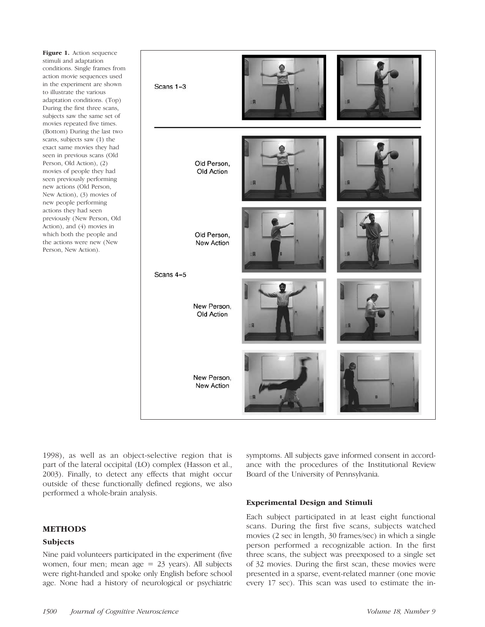Figure 1. Action sequence stimuli and adaptation conditions. Single frames from action movie sequences used in the experiment are shown to illustrate the various adaptation conditions. (Top) During the first three scans, subjects saw the same set of movies repeated five times. (Bottom) During the last two scans, subjects saw (1) the exact same movies they had seen in previous scans (Old Person, Old Action), (2) movies of people they had seen previously performing new actions (Old Person, New Action), (3) movies of new people performing actions they had seen previously (New Person, Old Action), and (4) movies in which both the people and the actions were new (New Person, New Action).



1998), as well as an object-selective region that is part of the lateral occipital (LO) complex (Hasson et al., 2003). Finally, to detect any effects that might occur outside of these functionally defined regions, we also performed a whole-brain analysis.

## METHODS

## Subjects

Nine paid volunteers participated in the experiment (five women, four men; mean age  $= 23$  years). All subjects were right-handed and spoke only English before school age. None had a history of neurological or psychiatric symptoms. All subjects gave informed consent in accordance with the procedures of the Institutional Review Board of the University of Pennsylvania.

#### Experimental Design and Stimuli

Each subject participated in at least eight functional scans. During the first five scans, subjects watched movies (2 sec in length, 30 frames/sec) in which a single person performed a recognizable action. In the first three scans, the subject was preexposed to a single set of 32 movies. During the first scan, these movies were presented in a sparse, event-related manner (one movie every 17 sec). This scan was used to estimate the in-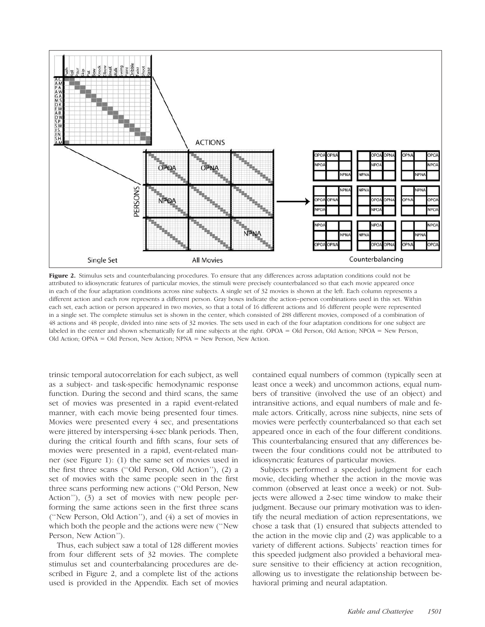

Figure 2. Stimulus sets and counterbalancing procedures. To ensure that any differences across adaptation conditions could not be attributed to idiosyncratic features of particular movies, the stimuli were precisely counterbalanced so that each movie appeared once in each of the four adaptation conditions across nine subjects. A single set of 32 movies is shown at the left. Each column represents a different action and each row represents a different person. Gray boxes indicate the action–person combinations used in this set. Within each set, each action or person appeared in two movies, so that a total of 16 different actions and 16 different people were represented in a single set. The complete stimulus set is shown in the center, which consisted of 288 different movies, composed of a combination of 48 actions and 48 people, divided into nine sets of 32 movies. The sets used in each of the four adaptation conditions for one subject are labeled in the center and shown schematically for all nine subjects at the right. OPOA = Old Person, Old Action; NPOA = New Person, Old Action; OPNA = Old Person, New Action; NPNA = New Person, New Action.

trinsic temporal autocorrelation for each subject, as well as a subject- and task-specific hemodynamic response function. During the second and third scans, the same set of movies was presented in a rapid event-related manner, with each movie being presented four times. Movies were presented every 4 sec, and presentations were jittered by interspersing 4-sec blank periods. Then, during the critical fourth and fifth scans, four sets of movies were presented in a rapid, event-related manner (see Figure 1): (1) the same set of movies used in the first three scans (''Old Person, Old Action''), (2) a set of movies with the same people seen in the first three scans performing new actions (''Old Person, New Action''), (3) a set of movies with new people performing the same actions seen in the first three scans (''New Person, Old Action''), and (4) a set of movies in which both the people and the actions were new (''New Person, New Action'').

Thus, each subject saw a total of 128 different movies from four different sets of 32 movies. The complete stimulus set and counterbalancing procedures are described in Figure 2, and a complete list of the actions used is provided in the Appendix. Each set of movies contained equal numbers of common (typically seen at least once a week) and uncommon actions, equal numbers of transitive (involved the use of an object) and intransitive actions, and equal numbers of male and female actors. Critically, across nine subjects, nine sets of movies were perfectly counterbalanced so that each set appeared once in each of the four different conditions. This counterbalancing ensured that any differences between the four conditions could not be attributed to idiosyncratic features of particular movies.

Subjects performed a speeded judgment for each movie, deciding whether the action in the movie was common (observed at least once a week) or not. Subjects were allowed a 2-sec time window to make their judgment. Because our primary motivation was to identify the neural mediation of action representations, we chose a task that (1) ensured that subjects attended to the action in the movie clip and (2) was applicable to a variety of different actions. Subjects' reaction times for this speeded judgment also provided a behavioral measure sensitive to their efficiency at action recognition, allowing us to investigate the relationship between behavioral priming and neural adaptation.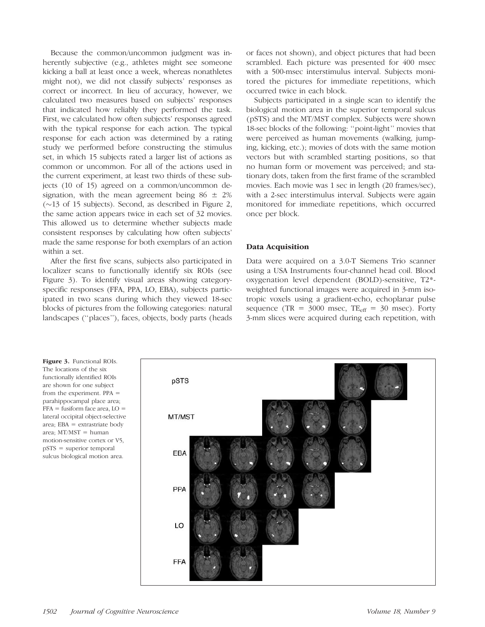Because the common/uncommon judgment was inherently subjective (e.g., athletes might see someone kicking a ball at least once a week, whereas nonathletes might not), we did not classify subjects' responses as correct or incorrect. In lieu of accuracy, however, we calculated two measures based on subjects' responses that indicated how reliably they performed the task. First, we calculated how often subjects' responses agreed with the typical response for each action. The typical response for each action was determined by a rating study we performed before constructing the stimulus set, in which 15 subjects rated a larger list of actions as common or uncommon. For all of the actions used in the current experiment, at least two thirds of these subjects (10 of 15) agreed on a common/uncommon designation, with the mean agreement being  $86 \pm 2\%$  $(\sim 13$  of 15 subjects). Second, as described in Figure 2, the same action appears twice in each set of 32 movies. This allowed us to determine whether subjects made consistent responses by calculating how often subjects' made the same response for both exemplars of an action within a set.

After the first five scans, subjects also participated in localizer scans to functionally identify six ROIs (see Figure 3). To identify visual areas showing categoryspecific responses (FFA, PPA, LO, EBA), subjects participated in two scans during which they viewed 18-sec blocks of pictures from the following categories: natural landscapes (''places''), faces, objects, body parts (heads or faces not shown), and object pictures that had been scrambled. Each picture was presented for 400 msec with a 500-msec interstimulus interval. Subjects monitored the pictures for immediate repetitions, which occurred twice in each block.

Subjects participated in a single scan to identify the biological motion area in the superior temporal sulcus (pSTS) and the MT/MST complex. Subjects were shown 18-sec blocks of the following: ''point-light'' movies that were perceived as human movements (walking, jumping, kicking, etc.); movies of dots with the same motion vectors but with scrambled starting positions, so that no human form or movement was perceived; and stationary dots, taken from the first frame of the scrambled movies. Each movie was 1 sec in length (20 frames/sec), with a 2-sec interstimulus interval. Subjects were again monitored for immediate repetitions, which occurred once per block.

#### Data Acquisition

Data were acquired on a 3.0-T Siemens Trio scanner using a USA Instruments four-channel head coil. Blood oxygenation level dependent (BOLD)-sensitive, T2\* weighted functional images were acquired in 3-mm isotropic voxels using a gradient-echo, echoplanar pulse sequence (TR =  $3000$  msec, TE<sub>eff</sub> =  $30$  msec). Forty 3-mm slices were acquired during each repetition, with

Figure 3. Functional ROIs. The locations of the six functionally identified ROIs are shown for one subject from the experiment. PPA = parahippocampal place area;  $FFA =$  fusiform face area,  $LO =$ lateral occipital object-selective area; EBA = extrastriate body area;  $MT/MST =$  human motion-sensitive cortex or V5, pSTS = superior temporal sulcus biological motion area.

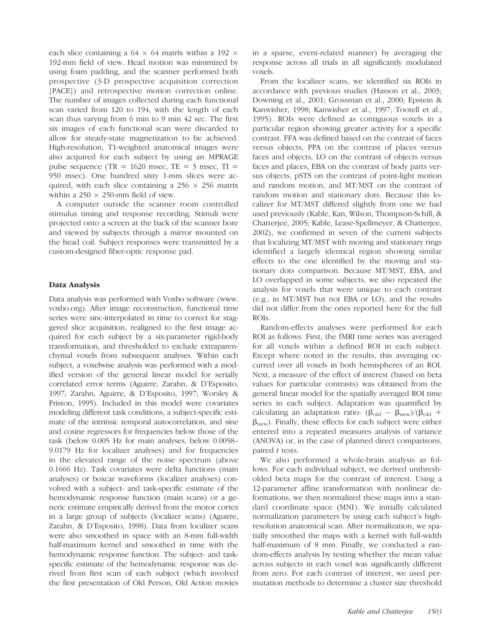each slice containing a 64  $\times$  64 matrix within a 192  $\times$ 192-mm field of view. Head motion was minimized by using foam padding, and the scanner performed both prospective (3-D prospective acquisition correction [PACE]) and retrospective motion correction online. The number of images collected during each functional scan varied from 120 to 194, with the length of each scan thus varying from 6 min to 9 min 42 sec. The first six images of each functional scan were discarded to allow for steady-state magnetization to be achieved. High-resolution, T1-weighted anatomical images were also acquired for each subject by using an MPRAGE pulse sequence (TR =  $1620$  msec, TE =  $3$  msec, TI = 950 msec). One hundred sixty 1-mm slices were acquired, with each slice containing a  $256 \times 256$  matrix within a  $250 \times 250$ -mm field of view.

A computer outside the scanner room controlled stimulus timing and response recording. Stimuli were projected onto a screen at the back of the scanner bore and viewed by subjects through a mirror mounted on the head coil. Subject responses were transmitted by a custom-designed fiber-optic response pad.

## Data Analysis

Data analysis was performed with Voxbo software (www. voxbo.org). After image reconstruction, functional time series were sinc-interpolated in time to correct for staggered slice acquisition, realigned to the first image acquired for each subject by a six-parameter rigid-body transformation, and thresholded to exclude extraparenchymal voxels from subsequent analyses. Within each subject, a voxelwise analysis was performed with a modified version of the general linear model for serially correlated error terms (Aguirre, Zarahn, & D'Esposito, 1997; Zarahn, Aguirre, & D'Esposito, 1997; Worsley & Friston, 1995). Included in this model were covariates modeling different task conditions, a subject-specific estimate of the intrinsic temporal autocorrelation, and sine and cosine regressors for frequencies below those of the task (below 0.005 Hz for main analyses, below 0.0058– 9.0179 Hz for localizer analyses) and for frequencies in the elevated range of the noise spectrum (above 0.1666 Hz). Task covariates were delta functions (main analyses) or boxcar waveforms (localizer analyses) convolved with a subject- and task-specific estimate of the hemodynamic response function (main scans) or a generic estimate empirically derived from the motor cortex in a large group of subjects (localizer scans) (Aguirre, Zarahn, & D'Esposito, 1998). Data from localizer scans were also smoothed in space with an 8-mm full-width half-maximum kernel and smoothed in time with the hemodynamic response function. The subject- and taskspecific estimate of the hemodynamic response was derived from first scan of each subject (which involved the first presentation of Old Person, Old Action movies

in a sparse, event-related manner) by averaging the response across all trials in all significantly modulated voxels.

From the localizer scans, we identified six ROIs in accordance with previous studies (Hasson et al., 2003; Downing et al., 2001; Grossman et al., 2000; Epstein & Kanwisher, 1998; Kanwisher et al., 1997; Tootell et al., 1995). ROIs were defined as contiguous voxels in a particular region showing greater activity for a specific contrast. FFA was defined based on the contrast of faces versus objects, PPA on the contrast of places versus faces and objects, LO on the contrast of objects versus faces and places, EBA on the contrast of body parts versus objects, pSTS on the contrast of point-light motion and random motion, and MT/MST on the contrast of random motion and stationary dots. Because this localizer for MT/MST differed slightly from one we had used previously (Kable, Kan, Wilson, Thompson-Schill, & Chatterjee, 2005; Kable, Lease-Spellmeyer, & Chatterjee, 2002), we confirmed in seven of the current subjects that localizing MT/MST with moving and stationary rings identified a largely identical region showing similar effects to the one identified by the moving and stationary dots comparison. Because MT/MST, EBA, and LO overlapped in some subjects, we also repeated the analysis for voxels that were unique to each contrast (e.g., in MT/MST but not EBA or LO), and the results did not differ from the ones reported here for the full ROIs.

Random-effects analyses were performed for each ROI as follows. First, the fMRI time series was averaged for all voxels within a defined ROI in each subject. Except where noted in the results, this averaging occurred over all voxels in both hemispheres of an ROI. Next, a measure of the effect of interest (based on beta values for particular contrasts) was obtained from the general linear model for the spatially averaged ROI time series in each subject. Adaptation was quantified by calculating an adaptation ratio:  $(\beta_{old} - \beta_{new})/(\beta_{old} + \beta_{new})$  $\beta_{\text{new}}$ ). Finally, these effects for each subject were either entered into a repeated measures analysis of variance (ANOVA) or, in the case of planned direct comparisons, paired t tests.

We also performed a whole-brain analysis as follows. For each individual subject, we derived unthresholded beta maps for the contrast of interest. Using a 12-parameter affine transformation with nonlinear deformations, we then normalized these maps into a standard coordinate space (MNI). We initially calculated normalization parameters by using each subject's highresolution anatomical scan. After normalization, we spatially smoothed the maps with a kernel with full-width half-maximum of 8 mm. Finally, we conducted a random-effects analysis by testing whether the mean value across subjects in each voxel was significantly different from zero. For each contrast of interest, we used permutation methods to determine a cluster size threshold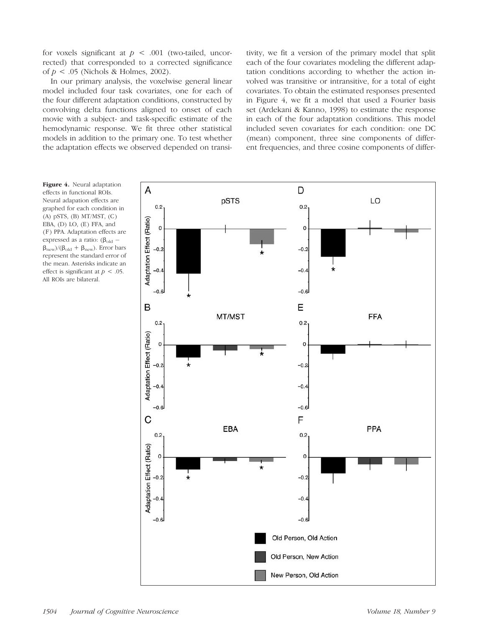for voxels significant at  $p < .001$  (two-tailed, uncorrected) that corresponded to a corrected significance of  $p < .05$  (Nichols & Holmes, 2002).

In our primary analysis, the voxelwise general linear model included four task covariates, one for each of the four different adaptation conditions, constructed by convolving delta functions aligned to onset of each movie with a subject- and task-specific estimate of the hemodynamic response. We fit three other statistical models in addition to the primary one. To test whether the adaptation effects we observed depended on transitivity, we fit a version of the primary model that split each of the four covariates modeling the different adaptation conditions according to whether the action involved was transitive or intransitive, for a total of eight covariates. To obtain the estimated responses presented in Figure 4, we fit a model that used a Fourier basis set (Ardekani & Kanno, 1998) to estimate the response in each of the four adaptation conditions. This model included seven covariates for each condition: one DC (mean) component, three sine components of different frequencies, and three cosine components of differ-

Figure 4. Neural adaptation effects in functional ROIs. Neural adapation effects are graphed for each condition in (A) pSTS, (B) MT/MST, (C) EBA, (D) LO, (E) FFA, and (F) PPA. Adaptation effects are expressed as a ratio:  $(\beta_{old}$  –  $\beta_{\text{new}}/(\beta_{\text{old}} + \beta_{\text{new}})$ . Error bars represent the standard error of the mean. Asterisks indicate an effect is significant at  $p < .05$ . All ROIs are bilateral.

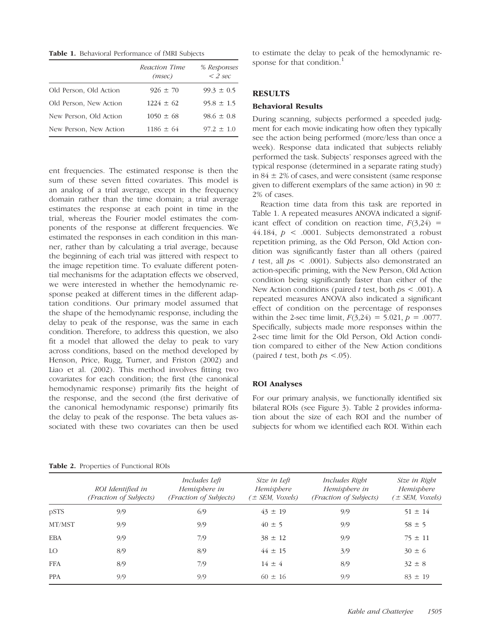Table 1. Behavioral Performance of fMRI Subjects

|                        | Reaction Time<br>(msec) | % Responses<br>$<$ 2 sec |
|------------------------|-------------------------|--------------------------|
| Old Person, Old Action | $926 \pm 70$            | $99.3 \pm 0.5$           |
| Old Person, New Action | $1224 \pm 62$           | $95.8 \pm 1.5$           |
| New Person, Old Action | $1050 \pm 68$           | $98.6 \pm 0.8$           |
| New Person, New Action | $1186 \pm 64$           | $97.2 \pm 1.0$           |

ent frequencies. The estimated response is then the sum of these seven fitted covariates. This model is an analog of a trial average, except in the frequency domain rather than the time domain; a trial average estimates the response at each point in time in the trial, whereas the Fourier model estimates the components of the response at different frequencies. We estimated the responses in each condition in this manner, rather than by calculating a trial average, because the beginning of each trial was jittered with respect to the image repetition time. To evaluate different potential mechanisms for the adaptation effects we observed, we were interested in whether the hemodynamic response peaked at different times in the different adaptation conditions. Our primary model assumed that the shape of the hemodynamic response, including the delay to peak of the response, was the same in each condition. Therefore, to address this question, we also fit a model that allowed the delay to peak to vary across conditions, based on the method developed by Henson, Price, Rugg, Turner, and Friston (2002) and Liao et al. (2002). This method involves fitting two covariates for each condition; the first (the canonical hemodynamic response) primarily fits the height of the response, and the second (the first derivative of the canonical hemodynamic response) primarily fits the delay to peak of the response. The beta values associated with these two covariates can then be used to estimate the delay to peak of the hemodynamic response for that condition.<sup>1</sup>

### RESULTS

#### Behavioral Results

During scanning, subjects performed a speeded judgment for each movie indicating how often they typically see the action being performed (more/less than once a week). Response data indicated that subjects reliably performed the task. Subjects' responses agreed with the typical response (determined in a separate rating study) in  $84 \pm 2\%$  of cases, and were consistent (same response given to different exemplars of the same action) in 90  $\pm$ 2% of cases.

Reaction time data from this task are reported in Table 1. A repeated measures ANOVA indicated a significant effect of condition on reaction time,  $F(3,24)$  = 44.184,  $p \le 0.0001$ . Subjects demonstrated a robust repetition priming, as the Old Person, Old Action condition was significantly faster than all others (paired t test, all  $ps < .0001$ ). Subjects also demonstrated an action-specific priming, with the New Person, Old Action condition being significantly faster than either of the New Action conditions (paired t test, both  $ps < .001$ ). A repeated measures ANOVA also indicated a significant effect of condition on the percentage of responses within the 2-sec time limit,  $F(3,24) = 5.021, p = .0077$ . Specifically, subjects made more responses within the 2-sec time limit for the Old Person, Old Action condition compared to either of the New Action conditions (paired t test, both  $ps < .05$ ).

#### ROI Analyses

For our primary analysis, we functionally identified six bilateral ROIs (see Figure 3). Table 2 provides information about the size of each ROI and the number of subjects for whom we identified each ROI. Within each

|            | ROI Identified in<br>(Fraction of Subjects) | <i>Includes Left</i><br>Hemisphere in<br>(Fraction of Subjects) | Size in Left<br>Hemisphere<br>$\pm$ SEM, Voxels) | Includes Right<br>Hemisphere in<br>(Fraction of Subjects) | Size in Right<br>Hemisphere<br>$\pm$ SEM, Voxels) |
|------------|---------------------------------------------|-----------------------------------------------------------------|--------------------------------------------------|-----------------------------------------------------------|---------------------------------------------------|
| pSTS       | 9/9                                         | 6/9                                                             | $43 \pm 19$                                      | 9/9                                                       | $51 \pm 14$                                       |
| MT/MST     | 9/9                                         | 9/9                                                             | $40 \pm 5$                                       | 9/9                                                       | $58 \pm 5$                                        |
| EBA        | 9/9                                         | 7/9                                                             | $38 \pm 12$                                      | 9/9                                                       | $75 \pm 11$                                       |
| LO.        | 8/9                                         | 8/9                                                             | $44 \pm 15$                                      | 3/9                                                       | $30 \pm 6$                                        |
| FFA        | 8/9                                         | 7/9                                                             | $14 \pm 4$                                       | 8/9                                                       | $32 \pm 8$                                        |
| <b>PPA</b> | 9/9                                         | 9/9                                                             | $60 \pm 16$                                      | 9/9                                                       | $83 \pm 19$                                       |

Table 2. Properties of Functional ROIs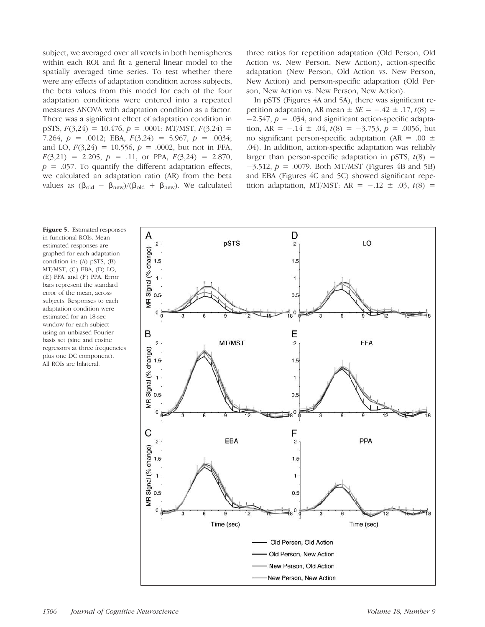subject, we averaged over all voxels in both hemispheres within each ROI and fit a general linear model to the spatially averaged time series. To test whether there were any effects of adaptation condition across subjects, the beta values from this model for each of the four adaptation conditions were entered into a repeated measures ANOVA with adaptation condition as a factor. There was a significant effect of adaptation condition in pSTS,  $F(3,24) = 10.476$ ,  $p = .0001$ ; MT/MST,  $F(3,24) =$ 7.264,  $p = .0012$ ; EBA,  $F(3,24) = 5.967$ ,  $p = .0034$ ; and LO,  $F(3,24) = 10.556$ ,  $p = .0002$ , but not in FFA,  $F(3,21) = 2.205$ ,  $p = .11$ , or PPA,  $F(3,24) = 2.870$ ,  $p = .057$ . To quantify the different adaptation effects, we calculated an adaptation ratio (AR) from the beta values as  $(\beta_{old} - \beta_{new})/(\beta_{old} + \beta_{new})$ . We calculated

three ratios for repetition adaptation (Old Person, Old Action vs. New Person, New Action), action-specific adaptation (New Person, Old Action vs. New Person, New Action) and person-specific adaptation (Old Person, New Action vs. New Person, New Action).

In pSTS (Figures 4A and 5A), there was significant repetition adaptation, AR mean  $\pm SE = -.42 \pm .17$ ,  $t(8) =$  $-2.547$ ,  $p = .034$ , and significant action-specific adaptation, AR =  $-.14 \pm .04$ ,  $t(8) = -3.753$ ,  $p = .0056$ , but no significant person-specific adaptation (AR = .00  $\pm$ .04). In addition, action-specific adaptation was reliably larger than person-specific adaptation in pSTS,  $t(8)$  =  $-3.512$ ,  $p = .0079$ . Both MT/MST (Figures 4B and 5B) and EBA (Figures 4C and 5C) showed significant repetition adaptation, MT/MST: AR =  $-.12 \pm .03$ ,  $t(8) =$ 

Figure 5. Estimated responses in functional ROIs. Mean estimated responses are graphed for each adaptation condition in: (A) pSTS, (B) MT/MST, (C) EBA, (D) LO, (E) FFA, and (F) PPA. Error bars represent the standard error of the mean, across subjects. Responses to each adaptation condition were estimated for an 18-sec window for each subject using an unbiased Fourier basis set (sine and cosine regressors at three frequencies plus one DC component). All ROIs are bilateral.

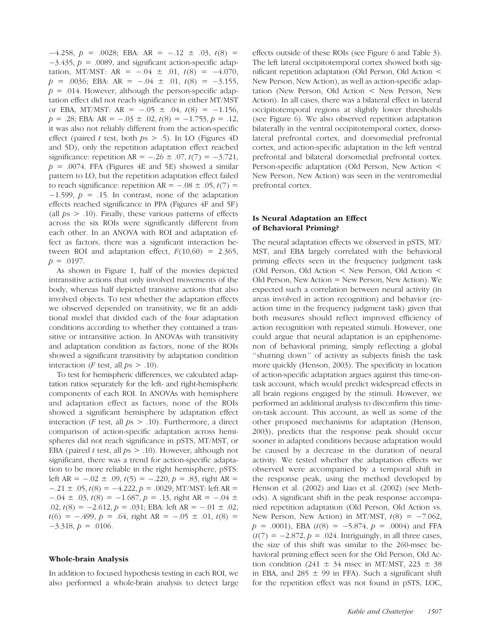$-4.258$ ,  $p = .0028$ ; EBA: AR =  $-.12 \pm .03$ ,  $t(8) =$  $-3.435$ ,  $p = .0089$ , and significant action-specific adaptation, MT/MST: AR =  $-.04 \pm .01$ ,  $t(8) = -4.070$ ,  $p = .0036$ ; EBA: AR =  $-.04 \pm .01$ ,  $t(8) = -3.155$ ,  $p = .014$ . However, although the person-specific adaptation effect did not reach significance in either MT/MST or EBA, MT/MST: AR =  $-.05 \pm .04$ ,  $t(8) = -1.156$ ,  $p = .28$ ; EBA: AR =  $-.03 \pm .02$ ,  $t(8) = -1.753$ ,  $p = .12$ , it was also not reliably different from the action-specific effect (paired t test, both  $ps > .5$ ). In LO (Figures 4D) and 5D), only the repetition adaptation effect reached significance: repetition AR =  $-.26 \pm .07$ ,  $t(7) = -3.721$ ,  $p = .0074$ . FFA (Figures 4E and 5E) showed a similar pattern to LO, but the repetition adaptation effect failed to reach significance: repetition AR =  $-.08 \pm .05$ ,  $t(7) =$  $-1.599$ ,  $p = .15$ . In contrast, none of the adaptation effects reached significance in PPA (Figures 4F and 5F) (all  $ps > .10$ ). Finally, these various patterns of effects across the six ROIs were significantly different from each other. In an ANOVA with ROI and adaptation effect as factors, there was a significant interaction between ROI and adaptation effect,  $F(10,60) = 2.365$ ,  $p = .0197$ .

As shown in Figure 1, half of the movies depicted intransitive actions that only involved movements of the body, whereas half depicted transitive actions that also involved objects. To test whether the adaptation effects we observed depended on transitivity, we fit an additional model that divided each of the four adaptation conditions according to whether they contained a transitive or intransitive action. In ANOVAs with transitivity and adaptation condition as factors, none of the ROIs showed a significant transitivity by adaptation condition interaction (*F* test, all  $ps > .10$ ).

To test for hemispheric differences, we calculated adaptation ratios separately for the left- and right-hemispheric components of each ROI. In ANOVAs with hemisphere and adaptation effect as factors, none of the ROIs showed a significant hemisphere by adaptation effect interaction (*F* test, all  $ps > .10$ ). Furthermore, a direct comparison of action-specific adaptation across hemispheres did not reach significance in pSTS, MT/MST, or EBA (paired t test, all  $ps > .10$ ). However, although not significant, there was a trend for action-specific adaptation to be more reliable in the right hemisphere, pSTS: left AR =  $-.02 \pm .09$ ,  $t(5) = -.220$ ,  $p = .83$ , right AR =  $-.21 \pm .05$ ,  $t(8) = -4.222$ ,  $p = .0029$ ; MT/MST: left AR =  $-0.04 \pm 0.03$ ,  $t(8) = -1.687$ ,  $p = 0.13$ , right AR =  $-0.04 \pm 0.04$ .02,  $t(8) = -2.612$ ,  $p = .031$ ; EBA: left AR =  $-.01 \pm .02$ ,  $t(6) = -.499$ ,  $p = .64$ , right AR =  $-.05 \pm .01$ ,  $t(8) =$  $-3.318, p = .0106.$ 

#### Whole-brain Analysis

In addition to focused hypothesis testing in each ROI, we also performed a whole-brain analysis to detect large effects outside of these ROIs (see Figure 6 and Table 3). The left lateral occipitotemporal cortex showed both significant repetition adaptation (Old Person, Old Action < New Person, New Action), as well as action-specific adaptation (New Person, Old Action < New Person, New Action). In all cases, there was a bilateral effect in lateral occipitotemporal regions at slightly lower thresholds (see Figure 6). We also observed repetition adaptation bilaterally in the ventral occipitotemporal cortex, dorsolateral prefrontal cortex, and dorsomedial prefrontal cortex, and action-specific adaptation in the left ventral prefrontal and bilateral dorsomedial prefrontal cortex. Person-specific adaptation (Old Person, New Action < New Person, New Action) was seen in the ventromedial prefrontal cortex.

### Is Neural Adaptation an Effect of Behavioral Priming?

The neural adaptation effects we observed in pSTS, MT/ MST, and EBA largely correlated with the behavioral priming effects seen in the frequency judgment task (Old Person, Old Action < New Person, Old Action < Old Person, New Action = New Person, New Action). We expected such a correlation between neural activity (in areas involved in action recognition) and behavior (reaction time in the frequency judgment task) given that both measures should reflect improved efficiency of action recognition with repeated stimuli. However, one could argue that neural adaptation is an epiphenomenon of behavioral priming, simply reflecting a global ''shutting down'' of activity as subjects finish the task more quickly (Henson, 2003). The specificity in location of action-specific adaptation argues against this time-ontask account, which would predict widespread effects in all brain regions engaged by the stimuli. However, we performed an additional analysis to disconfirm this timeon-task account. This account, as well as some of the other proposed mechanisms for adaptation (Henson, 2003), predicts that the response peak should occur sooner in adapted conditions because adaptation would be caused by a decrease in the duration of neural activity. We tested whether the adaptation effects we observed were accompanied by a temporal shift in the response peak, using the method developed by Henson et al. (2002) and Liao et al. (2002) (see Methods). A significant shift in the peak response accompanied repetition adaptation (Old Person, Old Action vs. New Person, New Action) in MT/MST,  $t(8) = -7.062$ ,  $p = .0001$ , EBA  $(t(8) = -5.874, p = .0004)$  and FFA  $(t(7) = -2.872, p = .024$ . Intriguingly, in all three cases, the size of this shift was similar to the 260-msec behavioral priming effect seen for the Old Person, Old Action condition (241  $\pm$  34 msec in MT/MST, 223  $\pm$  38 in EBA, and 285  $\pm$  99 in FFA). Such a significant shift for the repetition effect was not found in pSTS, LOC,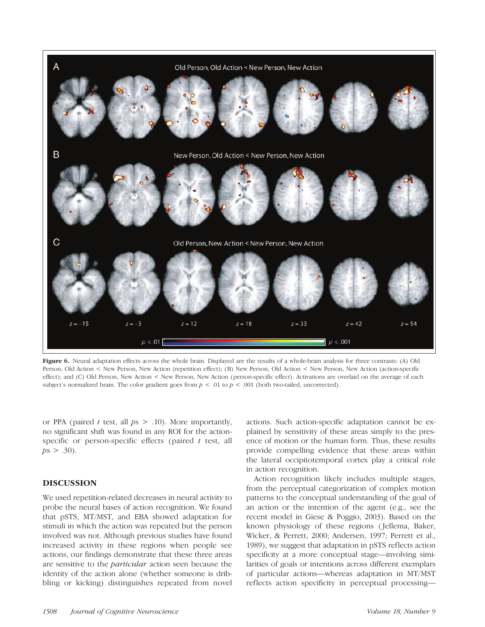

Figure 6. Neural adaptation effects across the whole brain. Displayed are the results of a whole-brain analysis for three contrasts: (A) Old Person, Old Action < New Person, New Action (repetition effect); (B) New Person, Old Action < New Person, New Action (action-specific effect); and (C) Old Person, New Action < New Person, New Action (person-specific effect). Activations are overlaid on the average of each subject's normalized brain. The color gradient goes from  $p < .01$  to  $p < .001$  (both two-tailed, uncorrected).

or PPA (paired t test, all  $ps > .10$ ). More importantly, no significant shift was found in any ROI for the actionspecific or person-specific effects (paired  $t$  test, all  $ps > .30$ ).

## DISCUSSION

We used repetition-related decreases in neural activity to probe the neural bases of action recognition. We found that pSTS, MT/MST, and EBA showed adaptation for stimuli in which the action was repeated but the person involved was not. Although previous studies have found increased activity in these regions when people see actions, our findings demonstrate that these three areas are sensitive to the particular action seen because the identity of the action alone (whether someone is dribbling or kicking) distinguishes repeated from novel actions. Such action-specific adaptation cannot be explained by sensitivity of these areas simply to the presence of motion or the human form. Thus, these results provide compelling evidence that these areas within the lateral occipitotemporal cortex play a critical role in action recognition.

Action recognition likely includes multiple stages, from the perceptual categorization of complex motion patterns to the conceptual understanding of the goal of an action or the intention of the agent (e.g., see the recent model in Giese & Poggio, 2003). Based on the known physiology of these regions ( Jellema, Baker, Wicker, & Perrett, 2000; Andersen, 1997; Perrett et al., 1989), we suggest that adaptation in pSTS reflects action specificity at a more conceptual stage—involving similarities of goals or intentions across different exemplars of particular actions—whereas adaptation in MT/MST reflects action specificity in perceptual processing—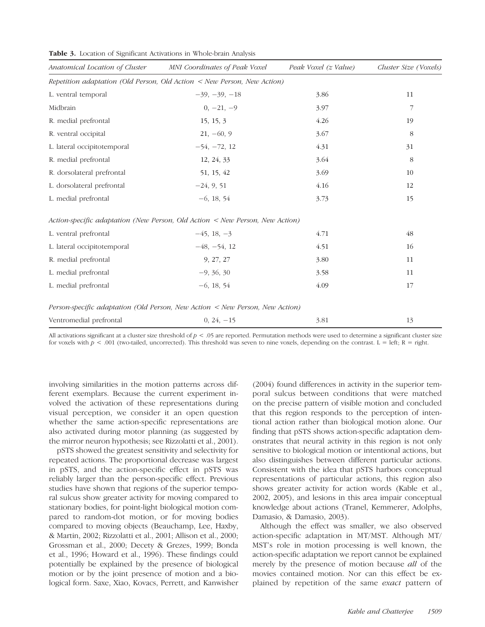| Table 3. Location of Significant Activations in Whole-brain Analysis |  |  |  |  |  |  |
|----------------------------------------------------------------------|--|--|--|--|--|--|
|----------------------------------------------------------------------|--|--|--|--|--|--|

| Anatomical Location of Cluster | MNI Coordinates of Peak Voxel                                                | Peak Voxel (z Value) | Cluster Size (Voxels) |
|--------------------------------|------------------------------------------------------------------------------|----------------------|-----------------------|
|                                | Repetition adaptation (Old Person, Old Action $\lt$ New Person, New Action)  |                      |                       |
| L. ventral temporal            | $-39, -39, -18$                                                              | 3.86                 | 11                    |
| Midbrain                       | $0, -21, -9$                                                                 | 3.97                 | 7                     |
| R. medial prefrontal           | 15, 15, 3                                                                    | 4.26                 | 19                    |
| R. ventral occipital           | $21, -60, 9$                                                                 | 3.67                 | 8                     |
| L. lateral occipitotemporal    | $-54, -72, 12$                                                               | 4.31                 | 31                    |
| R. medial prefrontal           | 12, 24, 33                                                                   | 3.64                 | 8                     |
| R. dorsolateral prefrontal     | 51, 15, 42                                                                   | 3.69                 | 10                    |
| L. dorsolateral prefrontal     | $-24, 9, 51$                                                                 | 4.16                 | 12                    |
| L. medial prefrontal           | $-6, 18, 54$                                                                 | 3.73                 | 15                    |
|                                | Action-specific adaptation (New Person, Old Action < New Person, New Action) |                      |                       |
| L. ventral prefrontal          | $-45, 18, -3$                                                                | 4.71                 | 48                    |
| L. lateral occipitotemporal    | $-48, -54, 12$                                                               | 4.51                 | 16                    |
| R. medial prefrontal           | 9, 27, 27                                                                    | 3.80                 | 11                    |
| L. medial prefrontal           | $-9, 36, 30$                                                                 | 3.58                 | 11                    |
| L. medial prefrontal           | $-6, 18, 54$                                                                 | 4.09                 | 17                    |
|                                | Person-specific adaptation (Old Person, New Action < New Person, New Action) |                      |                       |
| Ventromedial prefrontal        | $0, 24, -15$                                                                 | 3.81                 | 13                    |

All activations significant at a cluster size threshold of  $p < .05$  are reported. Permutation methods were used to determine a significant cluster size for voxels with  $p < .001$  (two-tailed, uncorrected). This threshold was seven to nine voxels, depending on the contrast. L = left; R = right.

involving similarities in the motion patterns across different exemplars. Because the current experiment involved the activation of these representations during visual perception, we consider it an open question whether the same action-specific representations are also activated during motor planning (as suggested by the mirror neuron hypothesis; see Rizzolatti et al., 2001).

pSTS showed the greatest sensitivity and selectivity for repeated actions. The proportional decrease was largest in pSTS, and the action-specific effect in pSTS was reliably larger than the person-specific effect. Previous studies have shown that regions of the superior temporal sulcus show greater activity for moving compared to stationary bodies, for point-light biological motion compared to random-dot motion, or for moving bodies compared to moving objects (Beauchamp, Lee, Haxby, & Martin, 2002; Rizzolatti et al., 2001; Allison et al., 2000; Grossman et al., 2000; Decety & Grezes, 1999; Bonda et al., 1996; Howard et al., 1996). These findings could potentially be explained by the presence of biological motion or by the joint presence of motion and a biological form. Saxe, Xiao, Kovacs, Perrett, and Kanwisher

(2004) found differences in activity in the superior temporal sulcus between conditions that were matched on the precise pattern of visible motion and concluded that this region responds to the perception of intentional action rather than biological motion alone. Our finding that pSTS shows action-specific adaptation demonstrates that neural activity in this region is not only sensitive to biological motion or intentional actions, but also distinguishes between different particular actions. Consistent with the idea that pSTS harbors conceptual representations of particular actions, this region also shows greater activity for action words (Kable et al., 2002, 2005), and lesions in this area impair conceptual knowledge about actions (Tranel, Kemmerer, Adolphs, Damasio, & Damasio, 2003).

Although the effect was smaller, we also observed action-specific adaptation in MT/MST. Although MT/ MST's role in motion processing is well known, the action-specific adaptation we report cannot be explained merely by the presence of motion because *all* of the movies contained motion. Nor can this effect be explained by repetition of the same exact pattern of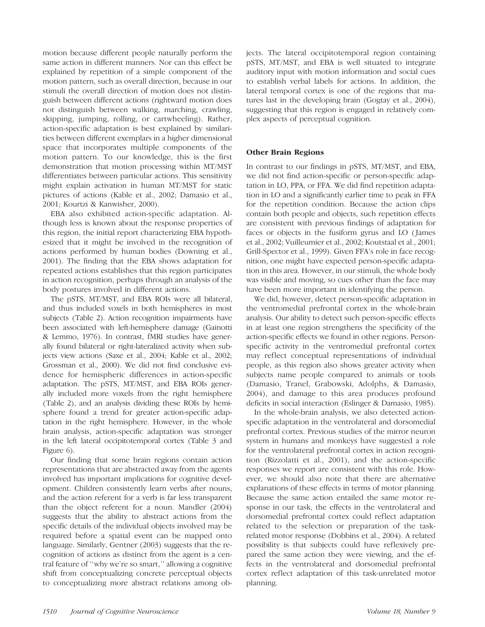motion because different people naturally perform the same action in different manners. Nor can this effect be explained by repetition of a simple component of the motion pattern, such as overall direction, because in our stimuli the overall direction of motion does not distinguish between different actions (rightward motion does not distinguish between walking, marching, crawling, skipping, jumping, rolling, or cartwheeling). Rather, action-specific adaptation is best explained by similarities between different exemplars in a higher dimensional space that incorporates multiple components of the motion pattern. To our knowledge, this is the first demonstration that motion processing within MT/MST differentiates between particular actions. This sensitivity might explain activation in human MT/MST for static pictures of actions (Kable et al., 2002; Damasio et al., 2001; Kourtzi & Kanwisher, 2000).

EBA also exhibited action-specific adaptation. Although less is known about the response properties of this region, the initial report characterizing EBA hypothesized that it might be involved in the recognition of actions performed by human bodies (Downing et al., 2001). The finding that the EBA shows adaptation for repeated actions establishes that this region participates in action recognition, perhaps through an analysis of the body postures involved in different actions.

The pSTS, MT/MST, and EBA ROIs were all bilateral, and thus included voxels in both hemispheres in most subjects (Table 2). Action recognition impairments have been associated with left-hemisphere damage (Gainotti & Lemmo, 1976). In contrast, fMRI studies have generally found bilateral or right-lateralized activity when subjects view actions (Saxe et al., 2004; Kable et al., 2002; Grossman et al., 2000). We did not find conclusive evidence for hemispheric differences in action-specific adaptation. The pSTS, MT/MST, and EBA ROIs generally included more voxels from the right hemisphere (Table 2), and an analysis dividing these ROIs by hemisphere found a trend for greater action-specific adaptation in the right hemisphere. However, in the whole brain analysis, action-specific adaptation was stronger in the left lateral occipitotemporal cortex (Table 3 and Figure 6).

Our finding that some brain regions contain action representations that are abstracted away from the agents involved has important implications for cognitive development. Children consistently learn verbs after nouns, and the action referent for a verb is far less transparent than the object referent for a noun. Mandler (2004) suggests that the ability to abstract actions from the specific details of the individual objects involved may be required before a spatial event can be mapped onto language. Similarly, Gentner (2003) suggests that the recognition of actions as distinct from the agent is a central feature of ''why we're so smart,'' allowing a cognitive shift from conceptualizing concrete perceptual objects to conceptualizing more abstract relations among objects. The lateral occipitotemporal region containing pSTS, MT/MST, and EBA is well situated to integrate auditory input with motion information and social cues to establish verbal labels for actions. In addition, the lateral temporal cortex is one of the regions that matures last in the developing brain (Gogtay et al., 2004), suggesting that this region is engaged in relatively complex aspects of perceptual cognition.

## Other Brain Regions

In contrast to our findings in pSTS, MT/MST, and EBA, we did not find action-specific or person-specific adaptation in LO, PPA, or FFA. We did find repetition adaptation in LO and a significantly earlier time to peak in FFA for the repetition condition. Because the action clips contain both people and objects, such repetition effects are consistent with previous findings of adaptation for faces or objects in the fusiform gyrus and LO ( James et al., 2002; Vuilleumier et al., 2002; Koutstaal et al., 2001; Grill-Spector et al., 1999). Given FFA's role in face recognition, one might have expected person-specific adaptation in this area. However, in our stimuli, the whole body was visible and moving, so cues other than the face may have been more important in identifying the person.

We did, however, detect person-specific adaptation in the ventromedial prefrontal cortex in the whole-brain analysis. Our ability to detect such person-specific effects in at least one region strengthens the specificity of the action-specific effects we found in other regions. Personspecific activity in the ventromedial prefrontal cortex may reflect conceptual representations of individual people, as this region also shows greater activity when subjects name people compared to animals or tools (Damasio, Tranel, Grabowski, Adolphs, & Damasio, 2004), and damage to this area produces profound deficits in social interaction (Eslinger & Damasio, 1985).

In the whole-brain analysis, we also detected actionspecific adaptation in the ventrolateral and dorsomedial prefrontal cortex. Previous studies of the mirror neuron system in humans and monkeys have suggested a role for the ventrolateral prefrontal cortex in action recognition (Rizzolatti et al., 2001), and the action-specific responses we report are consistent with this role. However, we should also note that there are alternative explanations of these effects in terms of motor planning. Because the same action entailed the same motor response in our task, the effects in the ventrolateral and dorsomedial prefrontal cortex could reflect adaptation related to the selection or preparation of the taskrelated motor response (Dobbins et al., 2004). A related possibility is that subjects could have reflexively prepared the same action they were viewing, and the effects in the ventrolateral and dorsomedial prefrontal cortex reflect adaptation of this task-unrelated motor planning.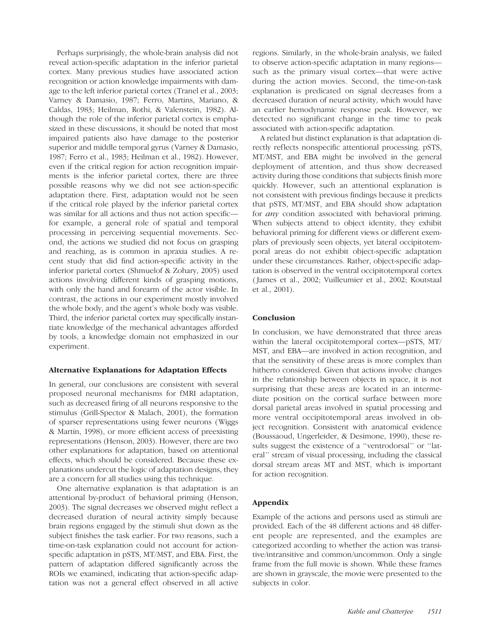Perhaps surprisingly, the whole-brain analysis did not reveal action-specific adaptation in the inferior parietal cortex. Many previous studies have associated action recognition or action knowledge impairments with damage to the left inferior parietal cortex (Tranel et al., 2003; Varney & Damasio, 1987; Ferro, Martins, Mariano, & Caldas, 1983; Heilman, Rothi, & Valenstein, 1982). Although the role of the inferior parietal cortex is emphasized in these discussions, it should be noted that most impaired patients also have damage to the posterior superior and middle temporal gyrus (Varney & Damasio, 1987; Ferro et al., 1983; Heilman et al., 1982). However, even if the critical region for action recognition impairments is the inferior parietal cortex, there are three possible reasons why we did not see action-specific adaptation there. First, adaptation would not be seen if the critical role played by the inferior parietal cortex was similar for all actions and thus not action specific for example, a general role of spatial and temporal processing in perceiving sequential movements. Second, the actions we studied did not focus on grasping and reaching, as is common in apraxia studies. A recent study that did find action-specific activity in the inferior parietal cortex (Shmuelof & Zohary, 2005) used actions involving different kinds of grasping motions, with only the hand and forearm of the actor visible. In contrast, the actions in our experiment mostly involved the whole body, and the agent's whole body was visible. Third, the inferior parietal cortex may specifically instantiate knowledge of the mechanical advantages afforded by tools, a knowledge domain not emphasized in our experiment.

### Alternative Explanations for Adaptation Effects

In general, our conclusions are consistent with several proposed neuronal mechanisms for fMRI adaptation, such as decreased firing of all neurons responsive to the stimulus (Grill-Spector & Malach, 2001), the formation of sparser representations using fewer neurons (Wiggs & Martin, 1998), or more efficient access of preexisting representations (Henson, 2003). However, there are two other explanations for adaptation, based on attentional effects, which should be considered. Because these explanations undercut the logic of adaptation designs, they are a concern for all studies using this technique.

One alternative explanation is that adaptation is an attentional by-product of behavioral priming (Henson, 2003). The signal decreases we observed might reflect a decreased duration of neural activity simply because brain regions engaged by the stimuli shut down as the subject finishes the task earlier. For two reasons, such a time-on-task explanation could not account for actionspecific adaptation in pSTS, MT/MST, and EBA. First, the pattern of adaptation differed significantly across the ROIs we examined, indicating that action-specific adaptation was not a general effect observed in all active

regions. Similarly, in the whole-brain analysis, we failed to observe action-specific adaptation in many regions such as the primary visual cortex—that were active during the action movies. Second, the time-on-task explanation is predicated on signal decreases from a decreased duration of neural activity, which would have an earlier hemodynamic response peak. However, we detected no significant change in the time to peak associated with action-specific adaptation.

A related but distinct explanation is that adaptation directly reflects nonspecific attentional processing. pSTS, MT/MST, and EBA might be involved in the general deployment of attention, and thus show decreased activity during those conditions that subjects finish more quickly. However, such an attentional explanation is not consistent with previous findings because it predicts that pSTS, MT/MST, and EBA should show adaptation for any condition associated with behavioral priming. When subjects attend to object identity, they exhibit behavioral priming for different views or different exemplars of previously seen objects, yet lateral occipitotemporal areas do not exhibit object-specific adaptation under these circumstances. Rather, object-specific adaptation is observed in the ventral occipitotemporal cortex ( James et al., 2002; Vuilleumier et al., 2002; Koutstaal et al., 2001).

### **Conclusion**

In conclusion, we have demonstrated that three areas within the lateral occipitotemporal cortex—pSTS, MT/ MST, and EBA—are involved in action recognition, and that the sensitivity of these areas is more complex than hitherto considered. Given that actions involve changes in the relationship between objects in space, it is not surprising that these areas are located in an intermediate position on the cortical surface between more dorsal parietal areas involved in spatial processing and more ventral occipitotemporal areas involved in object recognition. Consistent with anatomical evidence (Boussaoud, Ungerleider, & Desimone, 1990), these results suggest the existence of a ''ventrodorsal'' or ''lateral'' stream of visual processing, including the classical dorsal stream areas MT and MST, which is important for action recognition.

### Appendix

Example of the actions and persons used as stimuli are provided. Each of the 48 different actions and 48 different people are represented, and the examples are categorized according to whether the action was transitive/intransitive and common/uncommon. Only a single frame from the full movie is shown. While these frames are shown in grayscale, the movie were presented to the subjects in color.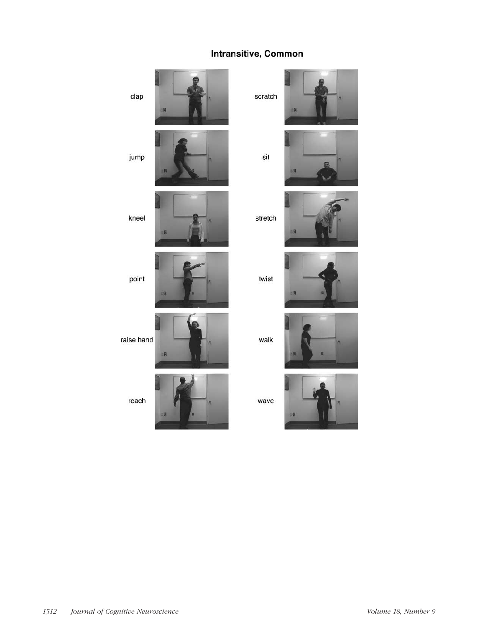## Intransitive, Common







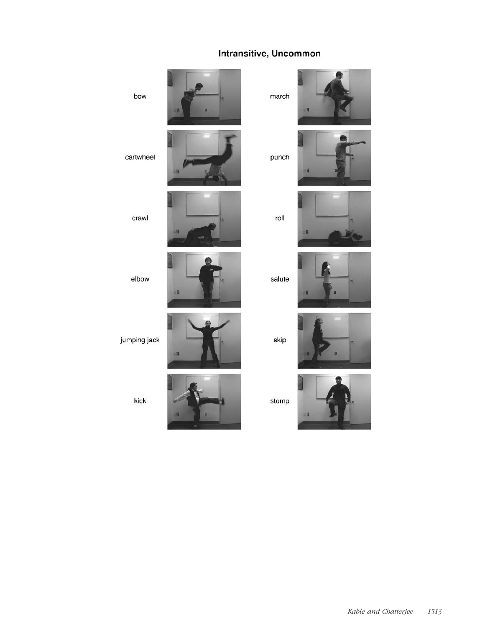## Intransitive, Uncommon



kick



stomp



Kable and Chatterjee 1513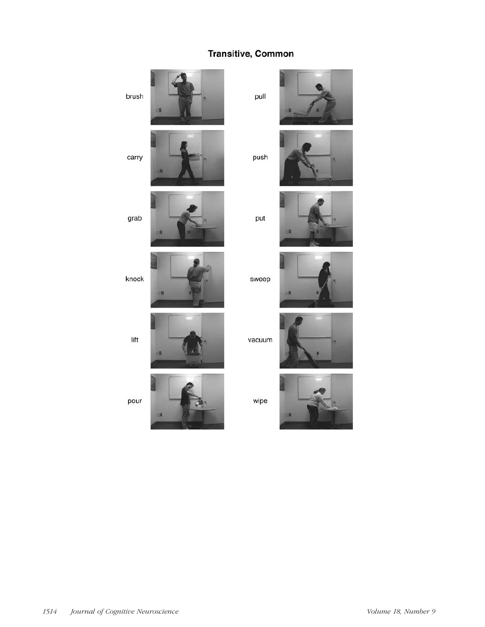## Transitive, Common















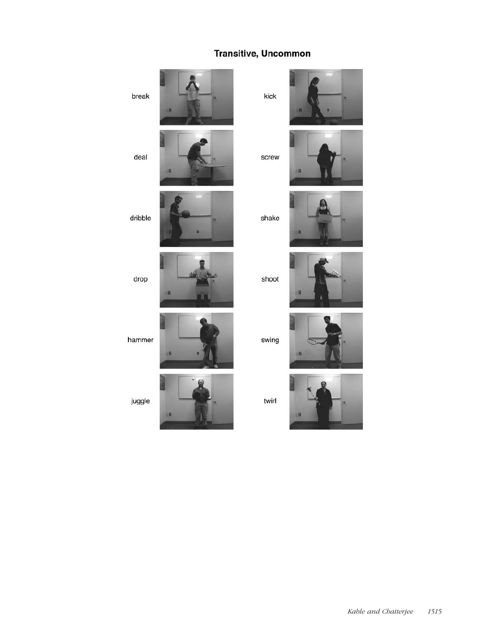## **Transitive, Uncommon**



kick

screw **IR** 





shoot









twirl

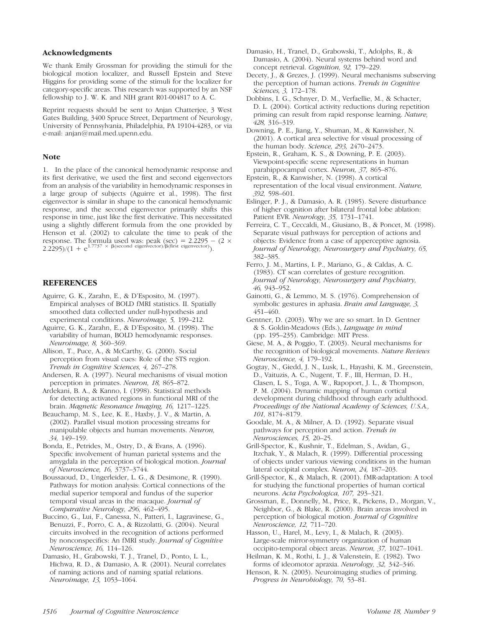#### Acknowledgments

We thank Emily Grossman for providing the stimuli for the biological motion localizer, and Russell Epstein and Steve Higgins for providing some of the stimuli for the localizer for category-specific areas. This research was supported by an NSF fellowship to J. W. K. and NIH grant R01-004817 to A. C.

Reprint requests should be sent to Anjan Chatterjee, 3 West Gates Building, 3400 Spruce Street, Department of Neurology, University of Pennsylvania, Philadelphia, PA 19104-4283, or via e-mail: anjan@mail.med.upenn.edu.

#### Note

1. In the place of the canonical hemodynamic response and its first derivative, we used the first and second eigenvectors from an analysis of the variability in hemodynamic responses in a large group of subjects (Aguirre et al., 1998). The first eigenvector is similar in shape to the canonical hemodynamic response, and the second eigenvector primarily shifts this response in time, just like the first derivative. This necessitated using a slightly different formula from the one provided by Henson et al. (2002) to calculate the time to peak of the response. The formula used was: peak (sec) =  $2.2295 - (2 \times 2.2295)/(1 + e^{1.7737} \times \beta$ (second eigenvector)/ $\beta$ (first eigenvector)).

### **REFERENCES**

- Aguirre, G. K., Zarahn, E., & D'Esposito, M. (1997). Empirical analyses of BOLD fMRI statistics. II. Spatially smoothed data collected under null-hypothesis and experimental conditions. Neuroimage, 5, 199–212.
- Aguirre, G. K., Zarahn, E., & D'Esposito, M. (1998). The variability of human, BOLD hemodynamic responses. Neuroimage, 8, 360–369.
- Allison, T., Puce, A., & McCarthy, G. (2000). Social perception from visual cues: Role of the STS region. Trends in Cognitive Sciences, 4, 267–278.
- Andersen, R. A. (1997). Neural mechanisms of visual motion perception in primates. Neuron, 18, 865–872.
- Ardekani, B. A., & Kanno, I. (1998). Statistical methods for detecting activated regions in functional MRI of the brain. Magnetic Resonance Imaging, 16, 1217–1225.
- Beauchamp, M. S., Lee, K. E., Haxby, J. V., & Martin, A. (2002). Parallel visual motion processing streams for manipulable objects and human movements. Neuron, 34, 149–159.
- Bonda, E., Petrides, M., Ostry, D., & Evans, A. (1996). Specific involvement of human parietal systems and the amygdala in the perception of biological motion. Journal of Neuroscience, 16, 3737–3744.
- Boussaoud, D., Ungerleider, L. G., & Desimone, R. (1990). Pathways for motion analysis: Cortical connections of the medial superior temporal and fundus of the superior temporal visual areas in the macaque. Journal of Comparative Neurology, 296, 462–495.
- Buccino, G., Lui, F., Canessa, N., Patteri, I., Lagravinese, G., Benuzzi, F., Porro, C. A., & Rizzolatti, G. (2004). Neural circuits involved in the recognition of actions performed by nonconspecifics: An fMRI study. Journal of Cognitive Neuroscience, 16, 114–126.
- Damasio, H., Grabowski, T. J., Tranel, D., Ponto, L. L., Hichwa, R. D., & Damasio, A. R. (2001). Neural correlates of naming actions and of naming spatial relations. Neuroimage, 13, 1053–1064.
- Damasio, H., Tranel, D., Grabowski, T., Adolphs, R., & Damasio, A. (2004). Neural systems behind word and concept retrieval. Cognition, 92, 179–229.
- Decety, J., & Grezes, J. (1999). Neural mechanisms subserving the perception of human actions. Trends in Cognitive Sciences, 3, 172–178.
- Dobbins, I. G., Schnyer, D. M., Verfaellie, M., & Schacter, D. L. (2004). Cortical activity reductions during repetition priming can result from rapid response learning. Nature, 428, 316–319.
- Downing, P. E., Jiang, Y., Shuman, M., & Kanwisher, N. (2001). A cortical area selective for visual processing of the human body. Science, 293, 2470–2473.
- Epstein, R., Graham, K. S., & Downing, P. E. (2003). Viewpoint-specific scene representations in human parahippocampal cortex. Neuron, 37, 865–876.
- Epstein, R., & Kanwisher, N. (1998). A cortical representation of the local visual environment. Nature, 392, 598–601.
- Eslinger, P. J., & Damasio, A. R. (1985). Severe disturbance of higher cognition after bilateral frontal lobe ablation: Patient EVR. Neurology, 35, 1731–1741.
- Ferreira, C. T., Ceccaldi, M., Giusiano, B., & Poncet, M. (1998). Separate visual pathways for perception of actions and objects: Evidence from a case of apperceptive agnosia. Journal of Neurology, Neurosurgery and Psychiatry, 65, 382–385.
- Ferro, J. M., Martins, I. P., Mariano, G., & Caldas, A. C. (1983). CT scan correlates of gesture recognition. Journal of Neurology, Neurosurgery and Psychiatry, 46, 943–952.
- Gainotti, G., & Lemmo, M. S. (1976). Comprehension of symbolic gestures in aphasia. Brain and Language, 3, 451–460.
- Gentner, D. (2003). Why we are so smart. In D. Gentner & S. Goldin-Meadows (Eds.), Language in mind (pp. 195–235). Cambridge: MIT Press.
- Giese, M. A., & Poggio, T. (2003). Neural mechanisms for the recognition of biological movements. Nature Reviews Neuroscience, 4, 179–192.
- Gogtay, N., Giedd, J. N., Lusk, L., Hayashi, K. M., Greenstein, D., Vaituzis, A. C., Nugent, T. F., III, Herman, D. H., Clasen, L. S., Toga, A. W., Rapoport, J. L., & Thompson, P. M. (2004). Dynamic mapping of human cortical development during childhood through early adulthood. Proceedings of the National Academy of Sciences, U.S.A., 101, 8174–8179.
- Goodale, M. A., & Milner, A. D. (1992). Separate visual pathways for perception and action. Trends in Neurosciences, 15, 20–25.
- Grill-Spector, K., Kushnir, T., Edelman, S., Avidan, G., Itzchak, Y., & Malach, R. (1999). Differential processing of objects under various viewing conditions in the human lateral occipital complex. Neuron, 24, 187–203.
- Grill-Spector, K., & Malach, R. (2001). fMR-adaptation: A tool for studying the functional properties of human cortical neurons. Acta Psychologica, 107, 293–321.
- Grossman, E., Donnelly, M., Price, R., Pickens, D., Morgan, V., Neighbor, G., & Blake, R. (2000). Brain areas involved in perception of biological motion. Journal of Cognitive Neuroscience, 12, 711–720.
- Hasson, U., Harel, M., Levy, I., & Malach, R. (2003). Large-scale mirror-symmetry organization of human occipito-temporal object areas. Neuron, 37, 1027–1041.
- Heilman, K. M., Rothi, L. J., & Valenstein, E. (1982). Two forms of ideomotor apraxia. Neurology, 32, 342–346.
- Henson, R. N. (2003). Neuroimaging studies of priming. Progress in Neurobiology, 70, 53–81.